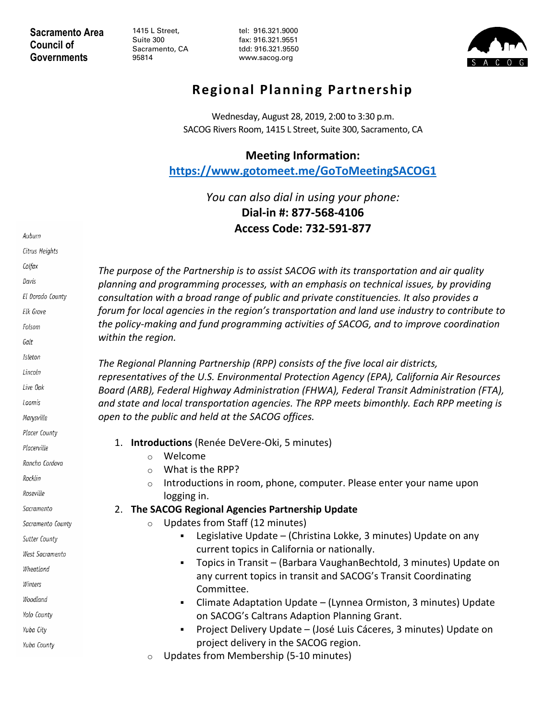**Sacramento Area Council of Governments**

1415 L Street, Suite 300 Sacramento, CA 95814

tel: 916.321.9000 fax: 916.321.9551 tdd: 916.321.9550 www.sacog.org



## **Regional Planning Partnership**

Wednesday, August 28, 2019, 2:00 to 3:30 p.m. SACOG Rivers Room, 1415 L Street, Suite 300, Sacramento, CA

## **Meeting Information:**

**<https://www.gotomeet.me/GoToMeetingSACOG1>**

*You can also dial in using your phone:* **Dial-in #: 877-568-4106 Access Code: 732-591-877**

| Auburn            |                                                                                                                                                                                                                                                                                                                                                                                                                                                                                                    |
|-------------------|----------------------------------------------------------------------------------------------------------------------------------------------------------------------------------------------------------------------------------------------------------------------------------------------------------------------------------------------------------------------------------------------------------------------------------------------------------------------------------------------------|
| Citrus Heights    |                                                                                                                                                                                                                                                                                                                                                                                                                                                                                                    |
| Colfax            | The purpose of the Partnership is to assist SACOG with its transportation and air quality<br>planning and programming processes, with an emphasis on technical issues, by providing<br>consultation with a broad range of public and private constituencies. It also provides a<br>forum for local agencies in the region's transportation and land use industry to contribute to<br>the policy-making and fund programming activities of SACOG, and to improve coordination<br>within the region. |
| Davis             |                                                                                                                                                                                                                                                                                                                                                                                                                                                                                                    |
| El Dorado County  |                                                                                                                                                                                                                                                                                                                                                                                                                                                                                                    |
| Elk Grove         |                                                                                                                                                                                                                                                                                                                                                                                                                                                                                                    |
| Folsom            |                                                                                                                                                                                                                                                                                                                                                                                                                                                                                                    |
| Galt              |                                                                                                                                                                                                                                                                                                                                                                                                                                                                                                    |
| Isleton           | The Regional Planning Partnership (RPP) consists of the five local air districts,<br>representatives of the U.S. Environmental Protection Agency (EPA), California Air Resources<br>Board (ARB), Federal Highway Administration (FHWA), Federal Transit Administration (FTA),<br>and state and local transportation agencies. The RPP meets bimonthly. Each RPP meeting is                                                                                                                         |
| Lincoln           |                                                                                                                                                                                                                                                                                                                                                                                                                                                                                                    |
| Live Oak          |                                                                                                                                                                                                                                                                                                                                                                                                                                                                                                    |
| Loomis            |                                                                                                                                                                                                                                                                                                                                                                                                                                                                                                    |
| Marysville        | open to the public and held at the SACOG offices.                                                                                                                                                                                                                                                                                                                                                                                                                                                  |
| Placer County     |                                                                                                                                                                                                                                                                                                                                                                                                                                                                                                    |
| Placerville       | Introductions (Renée DeVere-Oki, 5 minutes)<br>1.<br>Welcome                                                                                                                                                                                                                                                                                                                                                                                                                                       |
| Rancho Cordova    | $\circ$<br>What is the RPP?<br>$\circ$                                                                                                                                                                                                                                                                                                                                                                                                                                                             |
| Rocklin           | Introductions in room, phone, computer. Please enter your name upon<br>$\circ$                                                                                                                                                                                                                                                                                                                                                                                                                     |
| Roseville         | logging in.                                                                                                                                                                                                                                                                                                                                                                                                                                                                                        |
| Sacramento        | 2. The SACOG Regional Agencies Partnership Update                                                                                                                                                                                                                                                                                                                                                                                                                                                  |
| Sacramento County | Updates from Staff (12 minutes)<br>$\circ$                                                                                                                                                                                                                                                                                                                                                                                                                                                         |
| Sutter County     | Legislative Update - (Christina Lokke, 3 minutes) Update on any                                                                                                                                                                                                                                                                                                                                                                                                                                    |
| West Sacramento   | current topics in California or nationally.                                                                                                                                                                                                                                                                                                                                                                                                                                                        |
| Wheatland         | Topics in Transit - (Barbara VaughanBechtold, 3 minutes) Update on<br>any current topics in transit and SACOG's Transit Coordinating                                                                                                                                                                                                                                                                                                                                                               |
| Winters           | Committee.                                                                                                                                                                                                                                                                                                                                                                                                                                                                                         |
| Woodland          | Climate Adaptation Update - (Lynnea Ormiston, 3 minutes) Update<br>٠                                                                                                                                                                                                                                                                                                                                                                                                                               |
| Yolo County       | on SACOG's Caltrans Adaption Planning Grant.                                                                                                                                                                                                                                                                                                                                                                                                                                                       |
| Yuba City         | Project Delivery Update - (José Luis Cáceres, 3 minutes) Update on<br>$\blacksquare$                                                                                                                                                                                                                                                                                                                                                                                                               |
| Yuba County       | project delivery in the SACOG region.                                                                                                                                                                                                                                                                                                                                                                                                                                                              |
|                   | Updates from Membership (5-10 minutes)<br>$\circ$                                                                                                                                                                                                                                                                                                                                                                                                                                                  |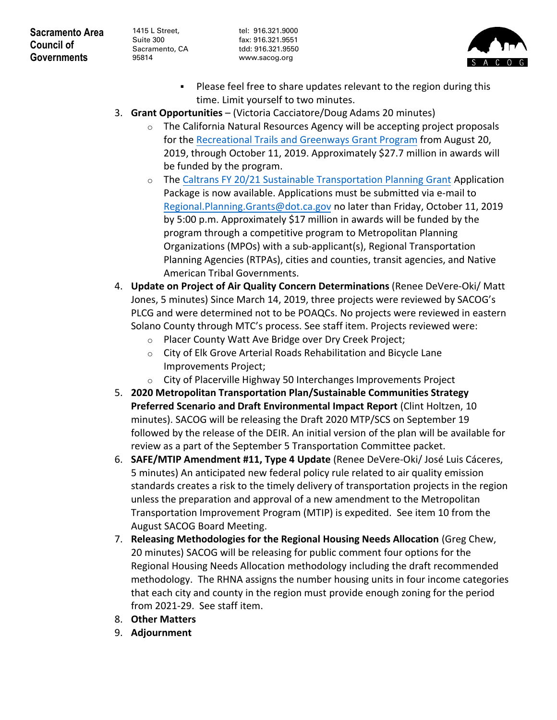**Sacramento Area Council of Governments**

1415 L Street, Suite 300 Sacramento, CA 95814

tel: 916.321.9000 fax: 916.321.9551 tdd: 916.321.9550 www.sacog.org



- Please feel free to share updates relevant to the region during this time. Limit yourself to two minutes.
- 3. **Grant Opportunities** (Victoria Cacciatore/Doug Adams 20 minutes)
	- $\circ$  The California Natural Resources Agency will be accepting project proposals for the [Recreational Trails and Greenways Grant Program](http://resources.ca.gov/grants/trails/) from August 20, 2019, through October 11, 2019. Approximately \$27.7 million in awards will be funded by the program.
	- o The [Caltrans FY 20/21 Sustainable Transportation Planning Grant](https://dot.ca.gov/programs/transportation-planning/regional-planning/sustainable-transportation-planning-grants) Application Package is now available. Applications must be submitted via e-mail to [Regional.Planning.Grants@dot.ca.gov](mailto:Regional.Planning.Grants@dot.ca.gov) no later than Friday, October 11, 2019 by 5:00 p.m. Approximately \$17 million in awards will be funded by the program through a competitive program to Metropolitan Planning Organizations (MPOs) with a sub-applicant(s), Regional Transportation Planning Agencies (RTPAs), cities and counties, transit agencies, and Native American Tribal Governments.
- 4. **Update on Project of Air Quality Concern Determinations** (Renee DeVere-Oki/ Matt Jones, 5 minutes) Since March 14, 2019, three projects were reviewed by SACOG's PLCG and were determined not to be POAQCs. No projects were reviewed in eastern Solano County through MTC's process. See staff item. Projects reviewed were:
	- o Placer County Watt Ave Bridge over Dry Creek Project;
	- o City of Elk Grove Arterial Roads Rehabilitation and Bicycle Lane Improvements Project;
	- o City of Placerville Highway 50 Interchanges Improvements Project
- 5. **2020 Metropolitan Transportation Plan/Sustainable Communities Strategy Preferred Scenario and Draft Environmental Impact Report** (Clint Holtzen, 10 minutes). SACOG will be releasing the Draft 2020 MTP/SCS on September 19 followed by the release of the DEIR. An initial version of the plan will be available for review as a part of the September 5 Transportation Committee packet.
- 6. **SAFE/MTIP Amendment #11, Type 4 Update** (Renee DeVere-Oki/ José Luis Cáceres, 5 minutes) An anticipated new federal policy rule related to air quality emission standards creates a risk to the timely delivery of transportation projects in the region unless the preparation and approval of a new amendment to the Metropolitan Transportation Improvement Program (MTIP) is expedited. See item 10 from the August SACOG Board Meeting.
- 7. **Releasing Methodologies for the Regional Housing Needs Allocation** (Greg Chew, 20 minutes) SACOG will be releasing for public comment four options for the Regional Housing Needs Allocation methodology including the draft recommended methodology. The RHNA assigns the number housing units in four income categories that each city and county in the region must provide enough zoning for the period from 2021-29. See staff item.
- 8. **Other Matters**
- 9. **Adjournment**